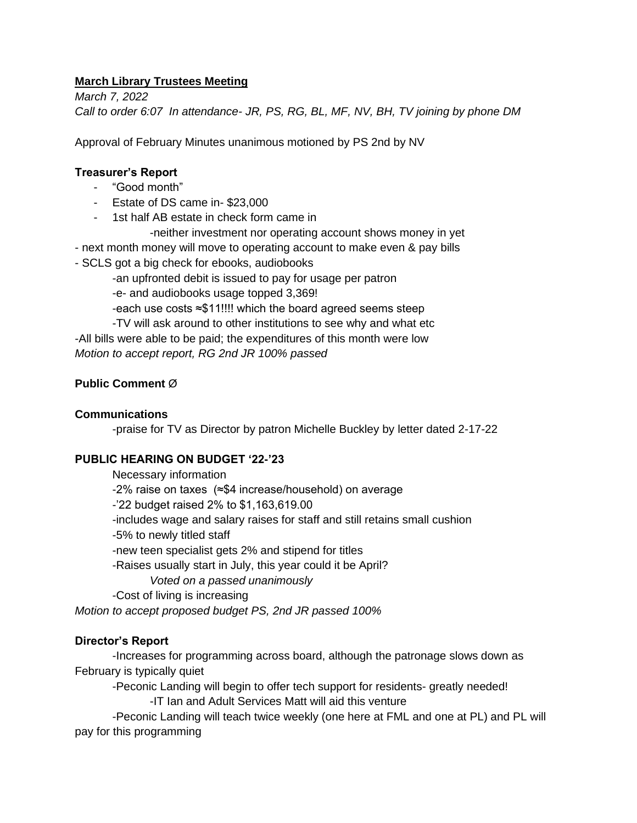# **March Library Trustees Meeting**

*March 7, 2022 Call to order 6:07 In attendance- JR, PS, RG, BL, MF, NV, BH, TV joining by phone DM*

Approval of February Minutes unanimous motioned by PS 2nd by NV

### **Treasurer's Report**

- "Good month"
- Estate of DS came in- \$23,000
- 1st half AB estate in check form came in
	- -neither investment nor operating account shows money in yet
- next month money will move to operating account to make even & pay bills
- SCLS got a big check for ebooks, audiobooks
	- -an upfronted debit is issued to pay for usage per patron
	- -e- and audiobooks usage topped 3,369!
	- -each use costs ≈\$11!!!! which the board agreed seems steep
- -TV will ask around to other institutions to see why and what etc -All bills were able to be paid; the expenditures of this month were low *Motion to accept report, RG 2nd JR 100% passed*

# **Public Comment** Ø

#### **Communications**

-praise for TV as Director by patron Michelle Buckley by letter dated 2-17-22

#### **PUBLIC HEARING ON BUDGET '22-'23**

Necessary information -2% raise on taxes (≈\$4 increase/household) on average -'22 budget raised 2% to \$1,163,619.00 -includes wage and salary raises for staff and still retains small cushion -5% to newly titled staff -new teen specialist gets 2% and stipend for titles -Raises usually start in July, this year could it be April? *Voted on a passed unanimously*  -Cost of living is increasing

*Motion to accept proposed budget PS, 2nd JR passed 100%*

# **Director's Report**

-Increases for programming across board, although the patronage slows down as February is typically quiet

-Peconic Landing will begin to offer tech support for residents- greatly needed! -IT Ian and Adult Services Matt will aid this venture

-Peconic Landing will teach twice weekly (one here at FML and one at PL) and PL will pay for this programming